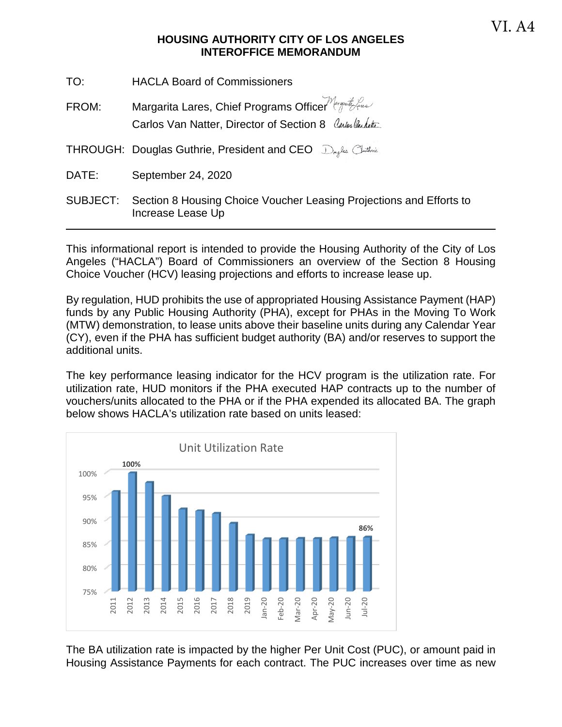### **HOUSING AUTHORITY CITY OF LOS ANGELES INTEROFFICE MEMORANDUM**

| TO:      | <b>HACLA Board of Commissioners</b>                                                                               |
|----------|-------------------------------------------------------------------------------------------------------------------|
| FROM:    | Margarita Lares, Chief Programs Officer Margarity Gus<br>Carlos Van Natter, Director of Section 8 Carlos Vandette |
|          | THROUGH: Douglas Guthrie, President and CEO Dryles Chathric                                                       |
| DATE:    | September 24, 2020                                                                                                |
| SUBJECT: | Section 8 Housing Choice Voucher Leasing Projections and Efforts to<br>Increase Lease Up                          |

This informational report is intended to provide the Housing Authority of the City of Los Angeles ("HACLA") Board of Commissioners an overview of the Section 8 Housing Choice Voucher (HCV) leasing projections and efforts to increase lease up.

By regulation, HUD prohibits the use of appropriated Housing Assistance Payment (HAP) funds by any Public Housing Authority (PHA), except for PHAs in the Moving To Work (MTW) demonstration, to lease units above their baseline units during any Calendar Year (CY), even if the PHA has sufficient budget authority (BA) and/or reserves to support the additional units.

The key performance leasing indicator for the HCV program is the utilization rate. For utilization rate, HUD monitors if the PHA executed HAP contracts up to the number of vouchers/units allocated to the PHA or if the PHA expended its allocated BA. The graph below shows HACLA's utilization rate based on units leased:



The BA utilization rate is impacted by the higher Per Unit Cost (PUC), or amount paid in Housing Assistance Payments for each contract. The PUC increases over time as new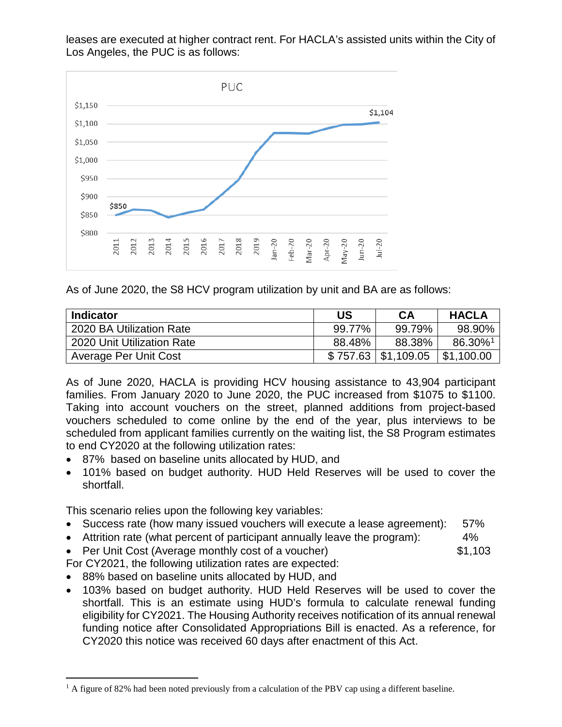leases are executed at higher contract rent. For HACLA's assisted units within the City of Los Angeles, the PUC is as follows:



As of June 2020, the S8 HCV program utilization by unit and BA are as follows:

| <b>Indicator</b>             | US     | CA                       | <b>HACLA</b> |
|------------------------------|--------|--------------------------|--------------|
| 2020 BA Utilization Rate     | 99.77% | 99.79%                   | 98.90%       |
| 2020 Unit Utilization Rate   | 88.48% | 88.38%                   | 86.30%1      |
| <b>Average Per Unit Cost</b> |        | $$757.63 \mid $1,109.05$ | \$1,100.00   |

As of June 2020, HACLA is providing HCV housing assistance to 43,904 participant families. From January 2020 to June 2020, the PUC increased from \$1075 to \$1100. Taking into account vouchers on the street, planned additions from project-based vouchers scheduled to come online by the end of the year, plus interviews to be scheduled from applicant families currently on the waiting list, the S8 Program estimates to end CY2020 at the following utilization rates:

- 87% based on baseline units allocated by HUD, and
- 101% based on budget authority. HUD Held Reserves will be used to cover the shortfall.

This scenario relies upon the following key variables:

- Success rate (how many issued vouchers will execute a lease agreement): 57%
- Attrition rate (what percent of participant annually leave the program): 4%
- Per Unit Cost (Average monthly cost of a voucher)  $$1,103$

For CY2021, the following utilization rates are expected:

- 88% based on baseline units allocated by HUD, and
- 103% based on budget authority. HUD Held Reserves will be used to cover the shortfall. This is an estimate using HUD's formula to calculate renewal funding eligibility for CY2021. The Housing Authority receives notification of its annual renewal funding notice after Consolidated Appropriations Bill is enacted. As a reference, for CY2020 this notice was received 60 days after enactment of this Act.

<span id="page-1-0"></span><sup>&</sup>lt;sup>1</sup> A figure of 82% had been noted previously from a calculation of the PBV cap using a different baseline.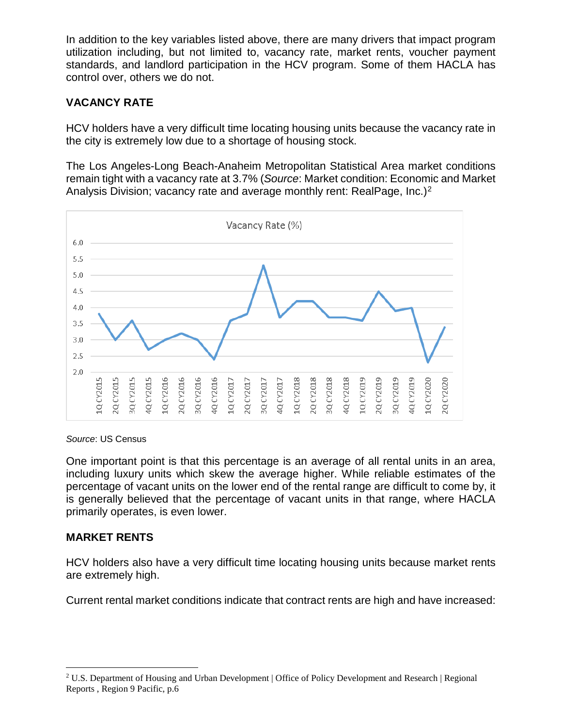In addition to the key variables listed above, there are many drivers that impact program utilization including, but not limited to, vacancy rate, market rents, voucher payment standards, and landlord participation in the HCV program. Some of them HACLA has control over, others we do not.

# **VACANCY RATE**

HCV holders have a very difficult time locating housing units because the vacancy rate in the city is extremely low due to a shortage of housing stock.

The Los Angeles-Long Beach-Anaheim Metropolitan Statistical Area market conditions remain tight with a vacancy rate at 3.7% (*Source*: Market condition: Economic and Market Analysis Division; vacancy rate and average monthly rent: RealPage, Inc.)<sup>[2](#page-2-0)</sup>



#### *Source*: US Census

One important point is that this percentage is an average of all rental units in an area, including luxury units which skew the average higher. While reliable estimates of the percentage of vacant units on the lower end of the rental range are difficult to come by, it is generally believed that the percentage of vacant units in that range, where HACLA primarily operates, is even lower.

### **MARKET RENTS**

HCV holders also have a very difficult time locating housing units because market rents are extremely high.

Current rental market conditions indicate that contract rents are high and have increased:

<span id="page-2-0"></span> <sup>2</sup> U.S. Department of Housing and Urban Development | Office of Policy Development and Research | Regional Reports , Region 9 Pacific, p.6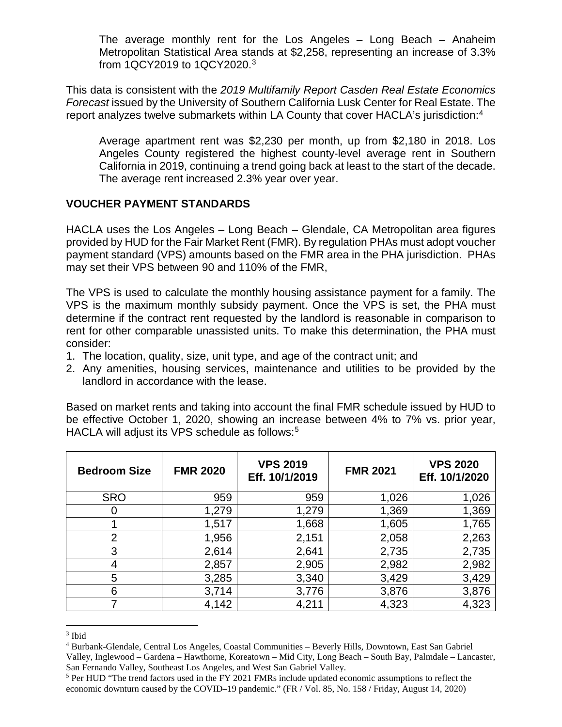The average monthly rent for the Los Angeles – Long Beach – Anaheim Metropolitan Statistical Area stands at \$2,258, representing an increase of 3.3% from 1QCY2019 to 1QCY2020.[3](#page-3-0)

This data is consistent with the *2019 Multifamily Report Casden Real Estate Economics Forecast* issued by the University of Southern California Lusk Center for Real Estate. The report analyzes twelve submarkets within LA County that cover HACLA's jurisdiction:[4](#page-3-1)

Average apartment rent was \$2,230 per month, up from \$2,180 in 2018. Los Angeles County registered the highest county-level average rent in Southern California in 2019, continuing a trend going back at least to the start of the decade. The average rent increased 2.3% year over year.

### **VOUCHER PAYMENT STANDARDS**

HACLA uses the Los Angeles – Long Beach – Glendale, CA Metropolitan area figures provided by HUD for the Fair Market Rent (FMR). By regulation PHAs must adopt voucher payment standard (VPS) amounts based on the FMR area in the PHA jurisdiction. PHAs may set their VPS between 90 and 110% of the FMR,

The VPS is used to calculate the monthly housing assistance payment for a family. The VPS is the maximum monthly subsidy payment. Once the VPS is set, the PHA must determine if the contract rent requested by the landlord is reasonable in comparison to rent for other comparable unassisted units. To make this determination, the PHA must consider:

- 1. The location, quality, size, unit type, and age of the contract unit; and
- 2. Any amenities, housing services, maintenance and utilities to be provided by the landlord in accordance with the lease.

Based on market rents and taking into account the final FMR schedule issued by HUD to be effective October 1, 2020, showing an increase between 4% to 7% vs. prior year, HACLA will adjust its VPS schedule as follows:[5](#page-3-2)

| <b>Bedroom Size</b> | <b>FMR 2020</b> | <b>VPS 2019</b><br>Eff. 10/1/2019 | <b>FMR 2021</b> | <b>VPS 2020</b><br>Eff. 10/1/2020 |
|---------------------|-----------------|-----------------------------------|-----------------|-----------------------------------|
| <b>SRO</b>          | 959             | 959                               | 1,026           | 1,026                             |
| O                   | 1,279           | 1,279                             | 1,369           | 1,369                             |
|                     | 1,517           | 1,668                             | 1,605           | 1,765                             |
| $\overline{2}$      | 1,956           | 2,151                             | 2,058           | 2,263                             |
| 3                   | 2,614           | 2,641                             | 2,735           | 2,735                             |
| 4                   | 2,857           | 2,905                             | 2,982           | 2,982                             |
| 5                   | 3,285           | 3,340                             | 3,429           | 3,429                             |
| 6                   | 3,714           | 3,776                             | 3,876           | 3,876                             |
|                     | 4,142           | 4,211                             | 4,323           | 4,323                             |

<span id="page-3-0"></span> <sup>3</sup> Ibid

<span id="page-3-1"></span><sup>4</sup> Burbank-Glendale, Central Los Angeles, Coastal Communities – Beverly Hills, Downtown, East San Gabriel Valley, Inglewood – Gardena – Hawthorne, Koreatown – Mid City, Long Beach – South Bay, Palmdale – Lancaster, San Fernando Valley, Southeast Los Angeles, and West San Gabriel Valley.

<span id="page-3-2"></span><sup>&</sup>lt;sup>5</sup> Per HUD "The trend factors used in the FY 2021 FMRs include updated economic assumptions to reflect the economic downturn caused by the COVID–19 pandemic." (FR / Vol. 85, No. 158 / Friday, August 14, 2020)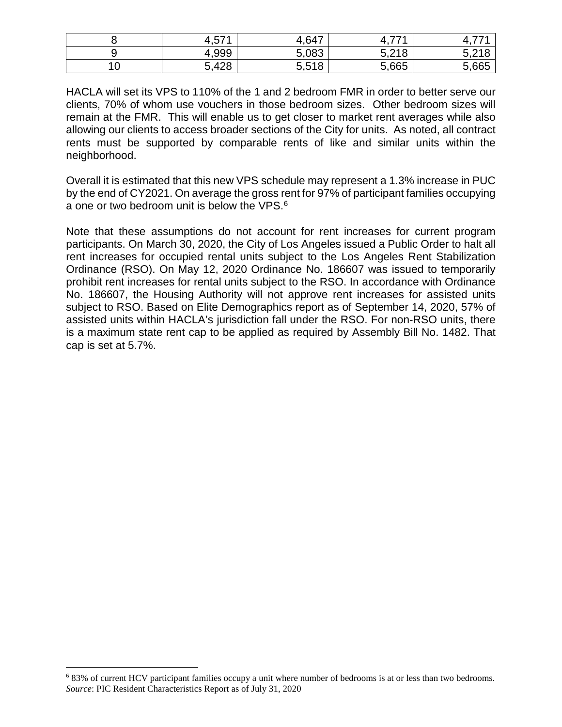|                   | 571<br>4,5.    | .647                             | ララオ<br>. . | --                |
|-------------------|----------------|----------------------------------|------------|-------------------|
|                   | 4,999          | ,083<br>E.<br>J.                 | 5,218      | $F \Omega$<br>◡.← |
| $\sqrt{2}$<br>. v | ,428<br>-<br>∽ | F <sub>519</sub><br><b>0.010</b> | 5,665      | 5,665             |

HACLA will set its VPS to 110% of the 1 and 2 bedroom FMR in order to better serve our clients, 70% of whom use vouchers in those bedroom sizes. Other bedroom sizes will remain at the FMR. This will enable us to get closer to market rent averages while also allowing our clients to access broader sections of the City for units. As noted, all contract rents must be supported by comparable rents of like and similar units within the neighborhood.

Overall it is estimated that this new VPS schedule may represent a 1.3% increase in PUC by the end of CY2021. On average the gross rent for 97% of participant families occupying a one or two bedroom unit is below the VPS.[6](#page-4-0)

Note that these assumptions do not account for rent increases for current program participants. On March 30, 2020, the City of Los Angeles issued a Public Order to halt all rent increases for occupied rental units subject to the Los Angeles Rent Stabilization Ordinance (RSO). On May 12, 2020 Ordinance No. 186607 was issued to temporarily prohibit rent increases for rental units subject to the RSO. In accordance with Ordinance No. 186607, the Housing Authority will not approve rent increases for assisted units subject to RSO. Based on Elite Demographics report as of September 14, 2020, 57% of assisted units within HACLA's jurisdiction fall under the RSO. For non-RSO units, there is a maximum state rent cap to be applied as required by Assembly Bill No. 1482. That cap is set at 5.7%.

<span id="page-4-0"></span> <sup>6</sup> 83% of current HCV participant families occupy a unit where number of bedrooms is at or less than two bedrooms. *Source*: PIC Resident Characteristics Report as of July 31, 2020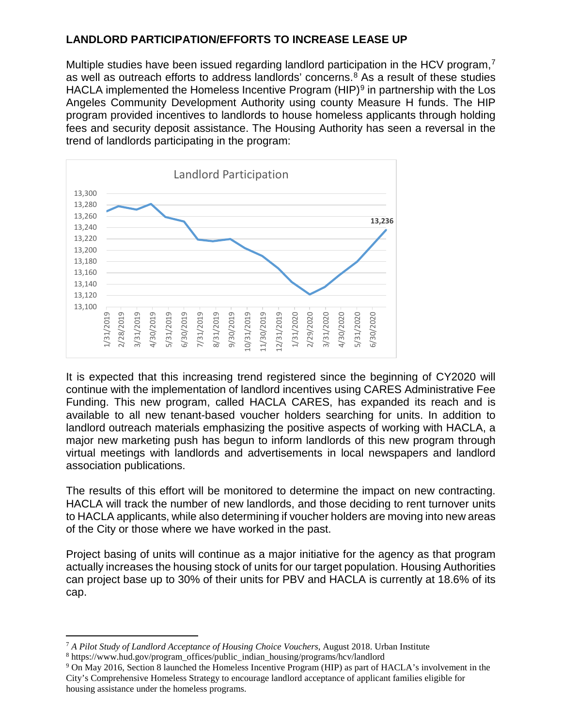# **LANDLORD PARTICIPATION/EFFORTS TO INCREASE LEASE UP**

Multiple studies have been issued regarding landlord participation in the HCV program,<sup>[7](#page-5-0)</sup> as well as outreach efforts to address landlords' concerns. $8$  As a result of these studies HACLA implemented the Homeless Incentive Program  $(HIP)^9$  $(HIP)^9$  in partnership with the Los Angeles Community Development Authority using county Measure H funds. The HIP program provided incentives to landlords to house homeless applicants through holding fees and security deposit assistance. The Housing Authority has seen a reversal in the trend of landlords participating in the program:



It is expected that this increasing trend registered since the beginning of CY2020 will continue with the implementation of landlord incentives using CARES Administrative Fee Funding. This new program, called HACLA CARES, has expanded its reach and is available to all new tenant-based voucher holders searching for units. In addition to landlord outreach materials emphasizing the positive aspects of working with HACLA, a major new marketing push has begun to inform landlords of this new program through virtual meetings with landlords and advertisements in local newspapers and landlord association publications.

The results of this effort will be monitored to determine the impact on new contracting. HACLA will track the number of new landlords, and those deciding to rent turnover units to HACLA applicants, while also determining if voucher holders are moving into new areas of the City or those where we have worked in the past.

Project basing of units will continue as a major initiative for the agency as that program actually increases the housing stock of units for our target population. Housing Authorities can project base up to 30% of their units for PBV and HACLA is currently at 18.6% of its cap.

<span id="page-5-0"></span> <sup>7</sup> *A Pilot Study of Landlord Acceptance of Housing Choice Vouchers*, August 2018. Urban Institute

<span id="page-5-1"></span><sup>8</sup> https://www.hud.gov/program\_offices/public\_indian\_housing/programs/hcv/landlord

<span id="page-5-2"></span><sup>9</sup> On May 2016, Section 8 launched the Homeless Incentive Program (HIP) as part of HACLA's involvement in the City's Comprehensive Homeless Strategy to encourage landlord acceptance of applicant families eligible for housing assistance under the homeless programs.